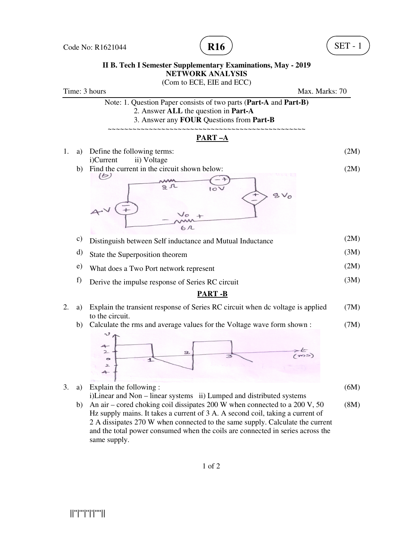

## **II B. Tech I Semester Supplementary Examinations, B. May - 2019** (Com to ECE, EIE and ECC) **NETWORK ANALYSIS**

Time: 3 hours Max. Marks: 70 Note: 1. Question Paper consists of two parts ( **Part-A** and **Part-B) B)**2. Answer **ALL** the question in **Part-A** 3. Answer any **FOUR** Questions from **Part-B** ~~~~~~~~~~~~~~~~~~~~~~~~~~~~~~~~~~~~~~~~~~~~~~~~ **PART –A**  1. a) Define the following terms: Define the following terms:<br>
i)Current in the circuit shown below:<br>  $\overrightarrow{Q}$ <br>  $\overrightarrow{Q}$ <br>  $\overrightarrow{Q}$ <br>  $\overrightarrow{Q}$ <br>  $\overrightarrow{Q}$ <br>  $\overrightarrow{Q}$ <br>  $\overrightarrow{Q}$ <br>  $\overrightarrow{Q}$ <br>  $\overrightarrow{Q}$ <br>
Distinguish between Self inductance and Mutual<br>
State the Super (2M) i) Current ii) Voltage b) Find the current in the circuit shown below: (2M)  $8V_0$ (2M) c) Distinguish between Self inductance and Mutual Inductance d) State the Superposition theorem (3M) e) What does a Two Port network represent (2M) f) Derive the impulse response (3M) **PART -B** 2. a) Explain the transient response of Series RC circuit when dc voltage is applied Explain (7M) Explain the transient response of Series RC circuit when dc voltage<br>to the circuit.<br>Calculate the rms and average values for the Voltage wave form sheep that the response of the Voltage wave form sheep and  $\frac{1}{2}$ <br>Expla to the circuit. b) Calculate the rms and average values for the Voltage wave form shown : (7M) 3. a) Explain the following : (6M) i)Linear and Non – linear systems ii) Lumped and distributed systems

b) An air – cored choking coil dissipates 200 W when connected to a 200 V, 50 An air – cored choking coil dissipates 200 W when connected to a 200 V, 50 (8M)<br>Hz supply mains. It takes a current of 3 A. A second coil, taking a current of 2 A dissipates 270 W when connected to the same supply. Calculate the current and the total power consumed when the coils are connected in series across the same supply.